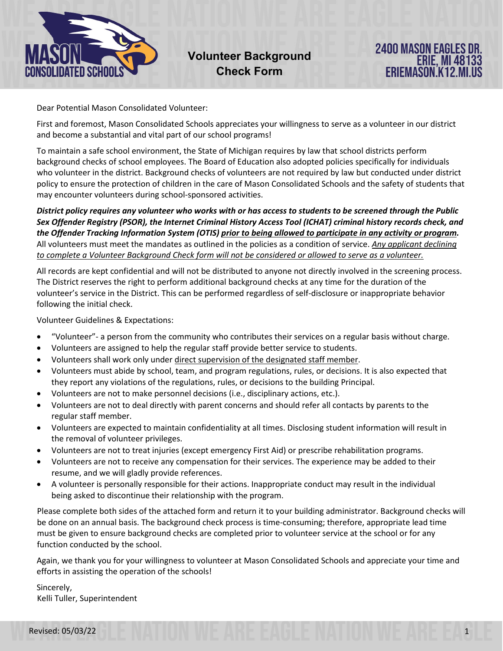

Dear Potential Mason Consolidated Volunteer:

First and foremost, Mason Consolidated Schools appreciates your willingness to serve as a volunteer in our district and become a substantial and vital part of our school programs!

To maintain a safe school environment, the State of Michigan requires by law that school districts perform background checks of school employees. The Board of Education also adopted policies specifically for individuals who volunteer in the district. Background checks of volunteers are not required by law but conducted under district policy to ensure the protection of children in the care of Mason Consolidated Schools and the safety of students that may encounter volunteers during school-sponsored activities.

*District policy requires any volunteer who works with or has access to students to be screened through the Public Sex Offender Registry (PSOR), the Internet Criminal History Access Tool (ICHAT) criminal history records check, and the Offender Tracking Information System (OTIS) prior to being allowed to participate in any activity or program.*  All volunteers must meet the mandates as outlined in the policies as a condition of service. *Any applicant declining to complete a Volunteer Background Check form will not be considered or allowed to serve as a volunteer.*

All records are kept confidential and will not be distributed to anyone not directly involved in the screening process. The District reserves the right to perform additional background checks at any time for the duration of the volunteer's service in the District. This can be performed regardless of self-disclosure or inappropriate behavior following the initial check.

Volunteer Guidelines & Expectations:

- "Volunteer"- a person from the community who contributes their services on a regular basis without charge.
- Volunteers are assigned to help the regular staff provide better service to students.
- Volunteers shall work only under direct supervision of the designated staff member.
- Volunteers must abide by school, team, and program regulations, rules, or decisions. It is also expected that they report any violations of the regulations, rules, or decisions to the building Principal.
- Volunteers are not to make personnel decisions (i.e., disciplinary actions, etc.).
- Volunteers are not to deal directly with parent concerns and should refer all contacts by parents to the regular staff member.
- Volunteers are expected to maintain confidentiality at all times. Disclosing student information will result in the removal of volunteer privileges.
- Volunteers are not to treat injuries (except emergency First Aid) or prescribe rehabilitation programs.
- Volunteers are not to receive any compensation for their services. The experience may be added to their resume, and we will gladly provide references.
- A volunteer is personally responsible for their actions. Inappropriate conduct may result in the individual being asked to discontinue their relationship with the program.

Please complete both sides of the attached form and return it to your building administrator. Background checks will be done on an annual basis. The background check process is time-consuming; therefore, appropriate lead time must be given to ensure background checks are completed prior to volunteer service at the school or for any function conducted by the school.

Again, we thank you for your willingness to volunteer at Mason Consolidated Schools and appreciate your time and efforts in assisting the operation of the schools!

Sincerely, Kelli Tuller, Superintendent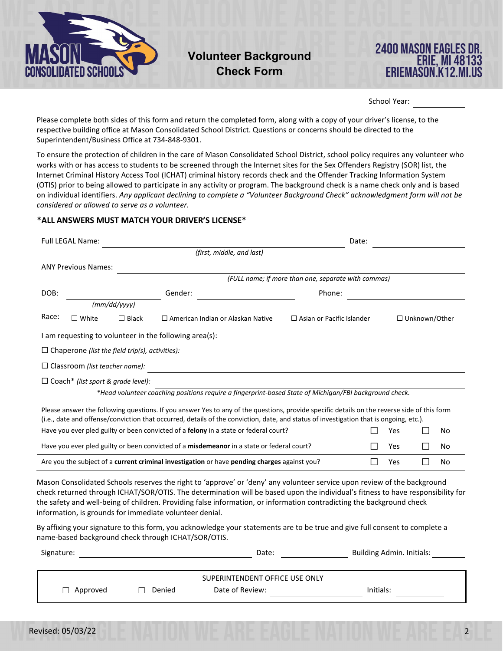

## **Volunteer Background Check Form**



School Year:

Please complete both sides of this form and return the completed form, along with a copy of your driver's license, to the respective building office at Mason Consolidated School District. Questions or concerns should be directed to the Superintendent/Business Office at 734-848-9301.

To ensure the protection of children in the care of Mason Consolidated School District, school policy requires any volunteer who works with or has access to students to be screened through the Internet sites for the Sex Offenders Registry (SOR) list, the Internet Criminal History Access Tool (ICHAT) criminal history records check and the Offender Tracking Information System (OTIS) prior to being allowed to participate in any activity or program. The background check is a name check only and is based on individual identifiers. *Any applicant declining to complete a "Volunteer Background Check" acknowledgment form will not be considered or allowed to serve as a volunteer.*

## **\*ALL ANSWERS MUST MATCH YOUR DRIVER'S LICENSE\***

|                                                                                           | <b>Full LEGAL Name:</b>                                 |              |         |                                                                                                                                                                                                                                                                                                                                                                                      | Date:                                               |   |            |                                  |     |  |  |
|-------------------------------------------------------------------------------------------|---------------------------------------------------------|--------------|---------|--------------------------------------------------------------------------------------------------------------------------------------------------------------------------------------------------------------------------------------------------------------------------------------------------------------------------------------------------------------------------------------|-----------------------------------------------------|---|------------|----------------------------------|-----|--|--|
|                                                                                           |                                                         |              |         | (first, middle, and last)                                                                                                                                                                                                                                                                                                                                                            |                                                     |   |            |                                  |     |  |  |
|                                                                                           | <b>ANY Previous Names:</b>                              |              |         |                                                                                                                                                                                                                                                                                                                                                                                      |                                                     |   |            |                                  |     |  |  |
|                                                                                           |                                                         |              |         |                                                                                                                                                                                                                                                                                                                                                                                      | (FULL name; if more than one, separate with commas) |   |            |                                  |     |  |  |
| DOB:                                                                                      |                                                         |              | Gender: | Phone:                                                                                                                                                                                                                                                                                                                                                                               |                                                     |   |            |                                  |     |  |  |
|                                                                                           |                                                         | (mm/dd/yyyy) |         |                                                                                                                                                                                                                                                                                                                                                                                      |                                                     |   |            |                                  |     |  |  |
| Race:                                                                                     | $\Box$ White                                            | $\Box$ Black |         | $\Box$ American Indian or Alaskan Native                                                                                                                                                                                                                                                                                                                                             | $\Box$ Asian or Pacific Islander                    |   |            | □ Unknown/Other                  |     |  |  |
|                                                                                           | I am requesting to volunteer in the following area(s):  |              |         |                                                                                                                                                                                                                                                                                                                                                                                      |                                                     |   |            |                                  |     |  |  |
|                                                                                           | $\Box$ Chaperone (list the field trip(s), activities):  |              |         |                                                                                                                                                                                                                                                                                                                                                                                      |                                                     |   |            |                                  |     |  |  |
|                                                                                           | $\Box$ Classroom (list teacher name):                   |              |         |                                                                                                                                                                                                                                                                                                                                                                                      |                                                     |   |            |                                  |     |  |  |
|                                                                                           | $\Box$ Coach* (list sport & grade level):               |              |         |                                                                                                                                                                                                                                                                                                                                                                                      |                                                     |   |            |                                  |     |  |  |
|                                                                                           |                                                         |              |         | *Head volunteer coaching positions require a fingerprint-based State of Michigan/FBI background check.                                                                                                                                                                                                                                                                               |                                                     |   |            |                                  |     |  |  |
|                                                                                           |                                                         |              |         | Please answer the following questions. If you answer Yes to any of the questions, provide specific details on the reverse side of this form<br>(i.e., date and offense/conviction that occurred, details of the conviction, date, and status of investigation that is ongoing, etc.).                                                                                                |                                                     |   |            |                                  |     |  |  |
|                                                                                           |                                                         |              |         | Have you ever pled guilty or been convicted of a felony in a state or federal court?                                                                                                                                                                                                                                                                                                 |                                                     | П | Yes        | ΙI                               | No. |  |  |
| Have you ever pled guilty or been convicted of a misdemeanor in a state or federal court? |                                                         |              |         |                                                                                                                                                                                                                                                                                                                                                                                      |                                                     | П | <b>Yes</b> | П                                | No. |  |  |
|                                                                                           |                                                         |              |         | Are you the subject of a current criminal investigation or have pending charges against you?                                                                                                                                                                                                                                                                                         |                                                     | П | Yes        | $\mathsf{L}$                     | No  |  |  |
|                                                                                           | information, is grounds for immediate volunteer denial. |              |         | Mason Consolidated Schools reserves the right to 'approve' or 'deny' any volunteer service upon review of the background<br>check returned through ICHAT/SOR/OTIS. The determination will be based upon the individual's fitness to have responsibility for<br>the safety and well-being of children. Providing false information, or information contradicting the background check |                                                     |   |            |                                  |     |  |  |
|                                                                                           | name-based background check through ICHAT/SOR/OTIS.     |              |         | By affixing your signature to this form, you acknowledge your statements are to be true and give full consent to complete a                                                                                                                                                                                                                                                          |                                                     |   |            |                                  |     |  |  |
| Signature:                                                                                |                                                         | Date:        |         |                                                                                                                                                                                                                                                                                                                                                                                      |                                                     |   |            | <b>Building Admin. Initials:</b> |     |  |  |
|                                                                                           |                                                         |              |         | SUPERINTENDENT OFFICE USE ONLY                                                                                                                                                                                                                                                                                                                                                       |                                                     |   |            |                                  |     |  |  |
|                                                                                           | Date of Review:<br>Initials:<br>Approved<br>Denied      |              |         |                                                                                                                                                                                                                                                                                                                                                                                      |                                                     |   |            |                                  |     |  |  |